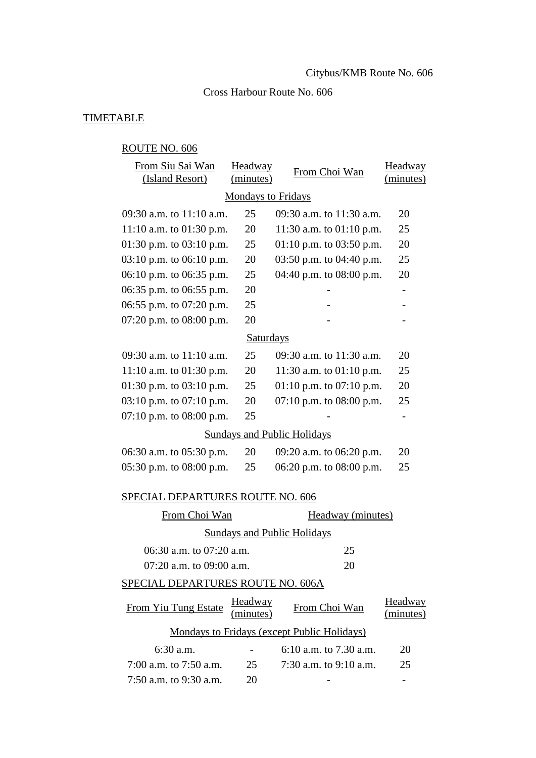## Cross Harbour Route No. 606

# **TIMETABLE**

# ROUTE NO. 606

| From Siu Sai Wan<br>(Island Resort)         | <b>Headway</b><br>(minutes) | From Choi Wan                      | <b>Headway</b><br>(minutes) |  |  |  |  |  |
|---------------------------------------------|-----------------------------|------------------------------------|-----------------------------|--|--|--|--|--|
| <b>Mondays to Fridays</b>                   |                             |                                    |                             |  |  |  |  |  |
| 09:30 a.m. to 11:10 a.m.                    | 25                          | 09:30 a.m. to 11:30 a.m.           | 20                          |  |  |  |  |  |
| 11:10 a.m. to $01:30$ p.m.                  | 20                          | 11:30 a.m. to $01:10$ p.m.         | 25                          |  |  |  |  |  |
| 01:30 p.m. to $03:10$ p.m.                  | 25                          | 01:10 p.m. to 03:50 p.m.           | 20                          |  |  |  |  |  |
| $03:10$ p.m. to $06:10$ p.m.                | 20                          | 03:50 p.m. to 04:40 p.m.           | 25                          |  |  |  |  |  |
| 06:10 p.m. to 06:35 p.m.                    | 25                          | 04:40 p.m. to 08:00 p.m.           | 20                          |  |  |  |  |  |
| 06:35 p.m. to 06:55 p.m.                    | 20                          |                                    |                             |  |  |  |  |  |
| 06:55 p.m. to $07:20$ p.m.                  | 25                          |                                    |                             |  |  |  |  |  |
| 07:20 p.m. to $08:00$ p.m.                  | 20                          |                                    |                             |  |  |  |  |  |
| <b>Saturdays</b>                            |                             |                                    |                             |  |  |  |  |  |
| 09:30 a.m. to $11:10$ a.m.                  | 25                          | 09:30 a.m. to 11:30 a.m.           | 20                          |  |  |  |  |  |
| 11:10 a.m. to $01:30$ p.m.                  | 20                          | 11:30 a.m. to $01:10$ p.m.         | 25                          |  |  |  |  |  |
| 01:30 p.m. to $03:10$ p.m.                  | 25                          | 01:10 p.m. to $07:10$ p.m.         | 20                          |  |  |  |  |  |
| 03:10 p.m. to $07:10$ p.m.                  | 20                          | 07:10 p.m. to $08:00$ p.m.         | 25                          |  |  |  |  |  |
| 07:10 p.m. to $08:00$ p.m.                  | 25                          |                                    |                             |  |  |  |  |  |
|                                             |                             | <b>Sundays and Public Holidays</b> |                             |  |  |  |  |  |
| 06:30 a.m. to 05:30 p.m.                    | 20                          | 09:20 a.m. to 06:20 p.m.           | 20                          |  |  |  |  |  |
| 05:30 p.m. to $08:00$ p.m.                  | 25                          | 06:20 p.m. to 08:00 p.m.           | 25                          |  |  |  |  |  |
| SPECIAL DEPARTURES ROUTE NO. 606            |                             |                                    |                             |  |  |  |  |  |
| From Choi Wan                               |                             | Headway (minutes)                  |                             |  |  |  |  |  |
|                                             |                             | <b>Sundays and Public Holidays</b> |                             |  |  |  |  |  |
| $06:30$ a.m. to $07:20$ a.m.                |                             | 25                                 |                             |  |  |  |  |  |
| 07:20 a.m. to 09:00 a.m.                    |                             | 20                                 |                             |  |  |  |  |  |
| SPECIAL DEPARTURES ROUTE NO. 606A           |                             |                                    |                             |  |  |  |  |  |
| From Yiu Tung Estate                        | Headway<br>minutes)         | From Choi Wan                      | <b>Headway</b><br>minutes)  |  |  |  |  |  |
| Mondays to Fridays (except Public Holidays) |                             |                                    |                             |  |  |  |  |  |
| 6:30 a.m.                                   |                             | 6:10 a.m. to $7.30$ a.m.           | 20                          |  |  |  |  |  |
| 7:00 a.m. to 7:50 a.m.                      | 25                          | 7:30 a.m. to $9:10$ a.m.           | 25                          |  |  |  |  |  |
| 7:50 a.m. to 9:30 a.m.                      | 20                          |                                    |                             |  |  |  |  |  |